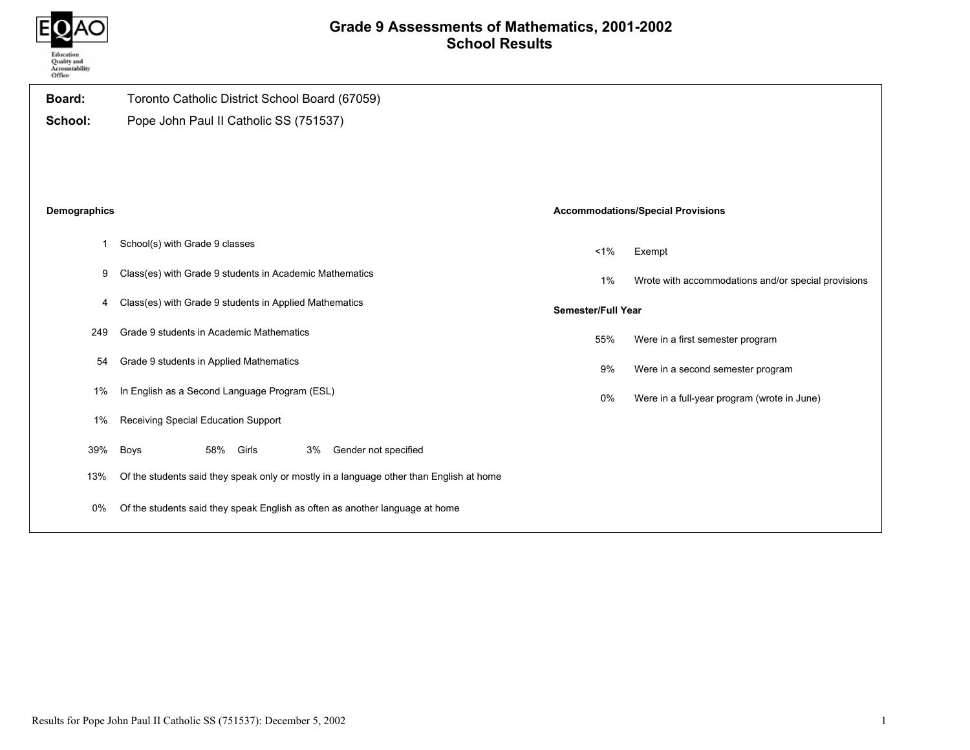

## Grade 9 Assessments of Mathematics, 2001-2002 School Results

| Board:       | Toronto Catholic District School Board (67059)                                          |                           |                                                     |
|--------------|-----------------------------------------------------------------------------------------|---------------------------|-----------------------------------------------------|
| School:      | Pope John Paul II Catholic SS (751537)                                                  |                           |                                                     |
|              |                                                                                         |                           |                                                     |
|              |                                                                                         |                           |                                                     |
| Demographics |                                                                                         |                           | <b>Accommodations/Special Provisions</b>            |
| $\mathbf{1}$ | School(s) with Grade 9 classes                                                          | 1%                        | Exempt                                              |
| 9            | Class(es) with Grade 9 students in Academic Mathematics                                 | $1\%$                     | Wrote with accommodations and/or special provisions |
| 4            | Class(es) with Grade 9 students in Applied Mathematics                                  | <b>Semester/Full Year</b> |                                                     |
| 249          | Grade 9 students in Academic Mathematics                                                | 55%                       | Were in a first semester program                    |
| 54           | Grade 9 students in Applied Mathematics                                                 | 9%                        | Were in a second semester program                   |
| 1%           | In English as a Second Language Program (ESL)                                           | 0%                        | Were in a full-year program (wrote in June)         |
| 1%           | Receiving Special Education Support                                                     |                           |                                                     |
| 39%          | 58% Girls<br>Gender not specified<br><b>Boys</b><br>3%                                  |                           |                                                     |
| 13%          | Of the students said they speak only or mostly in a language other than English at home |                           |                                                     |
| 0%           | Of the students said they speak English as often as another language at home            |                           |                                                     |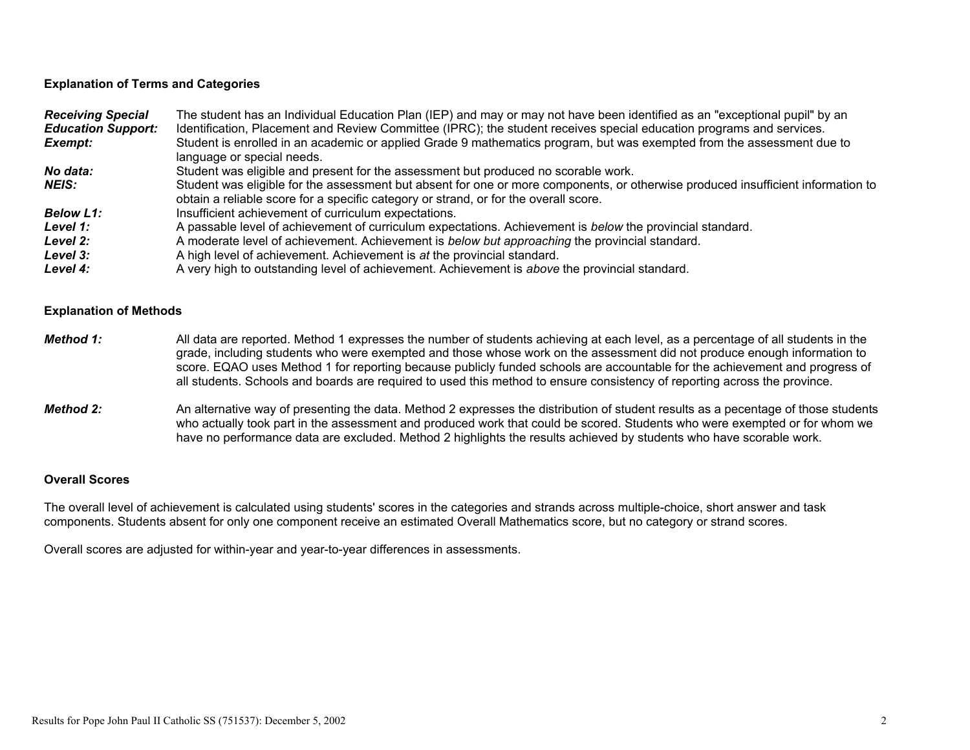### Explanation of Terms and Categories

| <b>Receiving Special</b>  | The student has an Individual Education Plan (IEP) and may or may not have been identified as an "exceptional pupil" by an       |
|---------------------------|----------------------------------------------------------------------------------------------------------------------------------|
| <b>Education Support:</b> | Identification, Placement and Review Committee (IPRC); the student receives special education programs and services.             |
| Exempt:                   | Student is enrolled in an academic or applied Grade 9 mathematics program, but was exempted from the assessment due to           |
|                           | language or special needs.                                                                                                       |
| No data:                  | Student was eligible and present for the assessment but produced no scorable work.                                               |
| NEIS:                     | Student was eligible for the assessment but absent for one or more components, or otherwise produced insufficient information to |
|                           | obtain a reliable score for a specific category or strand, or for the overall score.                                             |
| <b>Below L1:</b>          | Insufficient achievement of curriculum expectations.                                                                             |
| Level 1:                  | A passable level of achievement of curriculum expectations. Achievement is below the provincial standard.                        |
| <b>Level 2:</b>           | A moderate level of achievement. Achievement is <i>below but approaching</i> the provincial standard.                            |
| <b>Level 3:</b>           | A high level of achievement. Achievement is at the provincial standard.                                                          |
| Level 4:                  | A very high to outstanding level of achievement. Achievement is above the provincial standard.                                   |

#### Explanation of Methods

- Method 1: All data are reported. Method 1 expresses the number of students achieving at each level, as a percentage of all students in the grade, including students who were exempted and those whose work on the assessment did not produce enough information to score. EQAO uses Method 1 for reporting because publicly funded schools are accountable for the achievement and progress of all students. Schools and boards are required to used this method to ensure consistency of reporting across the province.
- Method 2: An alternative way of presenting the data. Method 2 expresses the distribution of student results as a pecentage of those students who actually took part in the assessment and produced work that could be scored. Students who were exempted or for whom we have no performance data are excluded. Method 2 highlights the results achieved by students who have scorable work.

### Overall Scores

The overall level of achievement is calculated using students' scores in the categories and strands across multiple-choice, short answer and task components. Students absent for only one component receive an estimated Overall Mathematics score, but no category or strand scores.

Overall scores are adjusted for within-year and year-to-year differences in assessments.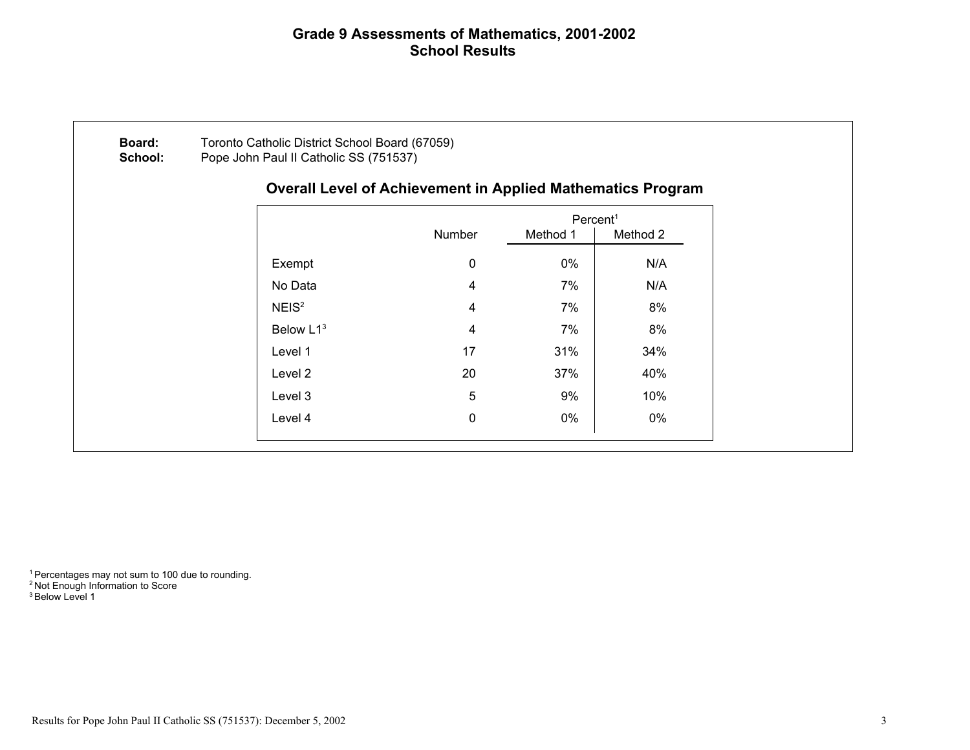## Grade 9 Assessments of Mathematics, 2001-2002 School Results

|                       | <b>Overall Level of Achievement in Applied Mathematics Program</b> |                      |          |
|-----------------------|--------------------------------------------------------------------|----------------------|----------|
|                       |                                                                    | Percent <sup>1</sup> |          |
|                       | Number                                                             | Method 1             | Method 2 |
| Exempt                | 0                                                                  | 0%                   | N/A      |
| No Data               | 4                                                                  | 7%                   | N/A      |
| NEIS <sup>2</sup>     | 4                                                                  | 7%                   | 8%       |
| Below L1 <sup>3</sup> | 4                                                                  | 7%                   | 8%       |
| Level 1               | 17                                                                 | 31%                  | 34%      |
| Level 2               | 20                                                                 | 37%                  | 40%      |
| Level 3               | 5                                                                  | 9%                   | 10%      |
| Level 4               | 0                                                                  | 0%                   | 0%       |

<sup>1</sup> Percentages may not sum to 100 due to rounding. <sup>2</sup> Not Enough Information to Score <sup>3</sup> Below Level 1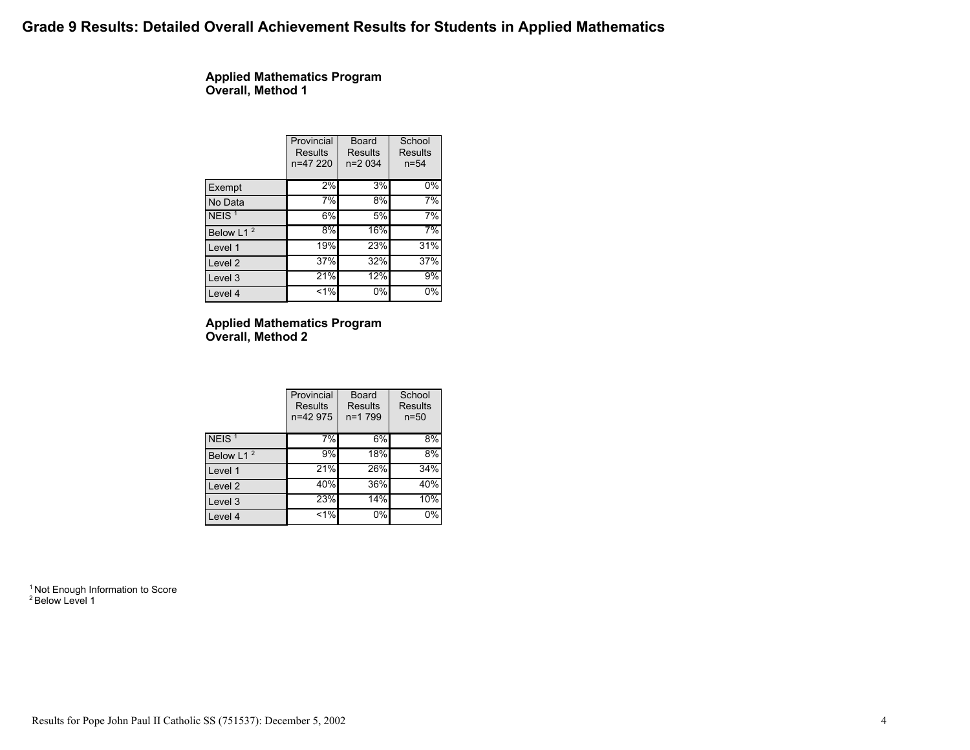## Grade 9 Results: Detailed Overall Achievement Results for Students in Applied Mathematics

Applied Mathematics Program Overall, Method 1

|                       | Provincial<br><b>Results</b><br>n=47 220 | Board<br>Results<br>$n=2034$ | School<br>Results<br>$n = 54$ |
|-----------------------|------------------------------------------|------------------------------|-------------------------------|
| Exempt                | 2%                                       | 3%                           | $0\%$                         |
| No Data               | 7%                                       | 8%                           | 7%                            |
| NEIS <sup>1</sup>     | 6%                                       | 5%                           | 7%                            |
| Below L1 <sup>2</sup> | 8%                                       | 16%                          | 7%                            |
| Level 1               | 19%                                      | 23%                          | 31%                           |
| Level <sub>2</sub>    | 37%                                      | 32%                          | 37%                           |
| Level 3               | 21%                                      | 12%                          | 9%                            |
| Level 4               | $1\%$                                    | 0%                           | $0\%$                         |

### Applied Mathematics Program Overall, Method 2

|                       | Provincial<br><b>Results</b><br>n=42 975 | <b>Board</b><br><b>Results</b><br>n=1 799 | School<br>Results<br>$n = 50$ |
|-----------------------|------------------------------------------|-------------------------------------------|-------------------------------|
| NEIS <sup>1</sup>     | 7%                                       | 6%                                        | 8%                            |
| Below L1 <sup>2</sup> | 9%                                       | 18%                                       | 8%                            |
| Level 1               | 21%                                      | 26%                                       | 34%                           |
| Level 2               | 40%                                      | 36%                                       | 40%                           |
| Level 3               | 23%                                      | $14\%$                                    | 10%                           |
| Level 4               | 1%                                       | 0%                                        | 0%                            |

<sup>1</sup> Not Enough Information to Score <sup>2</sup> Below Level 1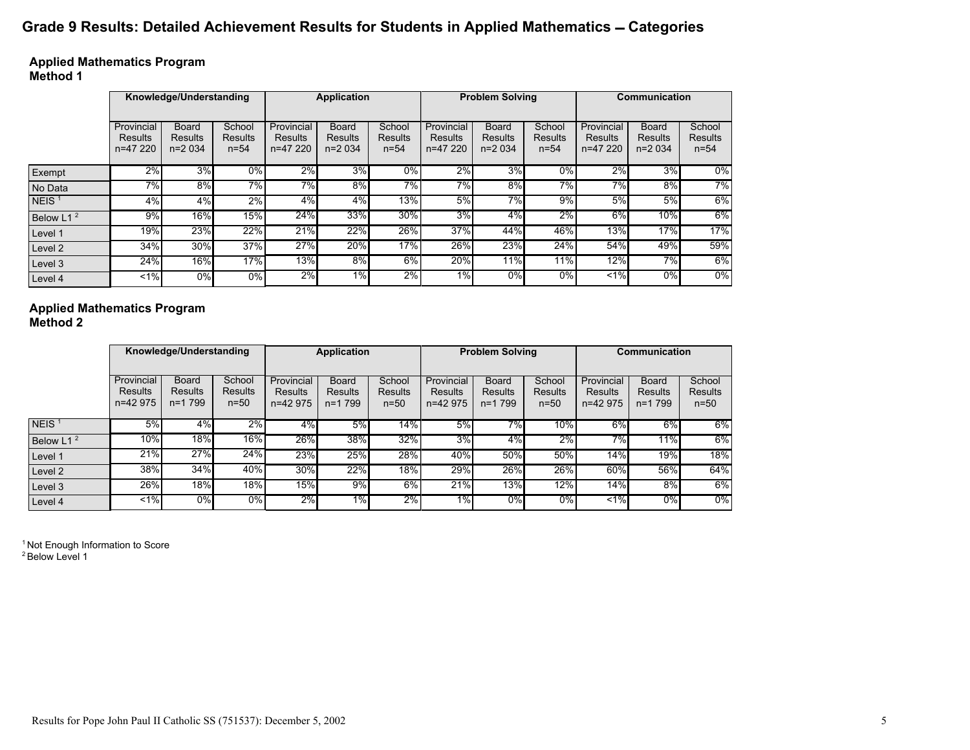# Grade 9 Results: Detailed Achievement Results for Students in Applied Mathematics - Categories

### Applied Mathematics Program Method 1

|                       | Knowledge/Understanding           |                                            |                                      | <b>Application</b>                |                              |                               | <b>Problem Solving</b>            |                                     |                               | Communication                            |                                     |                                      |
|-----------------------|-----------------------------------|--------------------------------------------|--------------------------------------|-----------------------------------|------------------------------|-------------------------------|-----------------------------------|-------------------------------------|-------------------------------|------------------------------------------|-------------------------------------|--------------------------------------|
|                       | Provincial<br>Results<br>n=47 220 | <b>Board</b><br><b>Results</b><br>$n=2034$ | School<br><b>Results</b><br>$n = 54$ | Provincial<br>Results<br>n=47 220 | Board<br>Results<br>$n=2034$ | School<br>Results<br>$n = 54$ | Provincial<br>Results<br>n=47 220 | Board<br><b>Results</b><br>$n=2034$ | School<br>Results<br>$n = 54$ | Provincial<br><b>Results</b><br>n=47 220 | <b>Board</b><br>Results<br>$n=2034$ | School<br><b>Results</b><br>$n = 54$ |
| Exempt                | 2%                                | 3%                                         | $0\%$                                | 2%                                | 3%                           | $0\%$                         | 2%                                | 3%                                  | 0%                            | 2%                                       | 3%                                  | $\overline{0\%}$                     |
| No Data               | 7%                                | 8%                                         | 7%                                   | 7%                                | 8%                           | 7%                            | $7\%$                             | 8%                                  | 7%                            | 7%                                       | 8%                                  | $7\%$                                |
| NEIS <sup>1</sup>     | 4%                                | 4%                                         | 2%                                   | 4%                                | 4%                           | 13%                           | 5%                                | 7%                                  | 9%                            | 5%                                       | 5%                                  | 6%                                   |
| Below L1 <sup>2</sup> | 9%                                | 16%                                        | 15%                                  | 24%                               | 33%                          | 30%                           | $3\%$                             | 4%                                  | 2%                            | 6%                                       | 10%                                 | $6\%$                                |
| Level 1               | 19%                               | 23%                                        | 22%                                  | 21%                               | 22%                          | 26%                           | 37%                               | 44%                                 | 46%                           | 13%                                      | 17%                                 | 17%                                  |
| Level 2               | 34%                               | 30%                                        | 37%                                  | 27%                               | 20%                          | 17%                           | 26%                               | 23%                                 | 24%                           | 54%                                      | 49%                                 | 59%                                  |
| Level 3               | 24%                               | 16%                                        | 17%                                  | $13\%$                            | $8\%$                        | $6\%$                         | 20%                               | 11%                                 | 11%                           | 12%                                      | 7%                                  | $6\%$                                |
| Level 4               | $1\%$                             | 0%                                         | 0%                                   | 2%                                | $1\%$                        | 2%                            | $1\%$                             | $0\%$                               | 0%                            | $1\%$                                    | 0%                                  | $0\%$                                |

### Applied Mathematics Program Method 2

|                       | Knowledge/Understanding           |                                               | Application                        |                                          | <b>Problem Solving</b>                |                             |                                   | Communication                         |                             |                                   |                                       |                                    |
|-----------------------|-----------------------------------|-----------------------------------------------|------------------------------------|------------------------------------------|---------------------------------------|-----------------------------|-----------------------------------|---------------------------------------|-----------------------------|-----------------------------------|---------------------------------------|------------------------------------|
|                       | Provincial<br>Results<br>n=42 975 | <b>Board</b><br><b>Results</b><br>$n = 1,799$ | School<br><b>Results</b><br>$n=50$ | Provincial<br><b>Results</b><br>n=42 975 | <b>Board</b><br>Results<br>$n = 1799$ | School<br>Results<br>$n=50$ | Provincial<br>Results<br>n=42 975 | <b>Board</b><br>Results<br>$n = 1799$ | School<br>Results<br>$n=50$ | Provincial<br>Results<br>n=42 975 | <b>Board</b><br>Results<br>$n = 1799$ | School<br><b>Results</b><br>$n=50$ |
| NEIS $1$              | 5%                                | 4%                                            | 2%                                 | 4%                                       | 5%                                    | $14\%$                      | 5%                                | 7%                                    | 10%                         | $6\%$                             | $6\%$                                 | $6\%$                              |
| Below L1 <sup>2</sup> | 10%                               | 18%                                           | 16%                                | 26%                                      | 38%                                   | 32%                         | 3%                                | 4%                                    | 2%                          | 7%                                | 11%                                   | 6%                                 |
| Level 1               | 21%                               | 27%                                           | 24%                                | 23%                                      | 25%                                   | 28%                         | 40%                               | 50%                                   | 50%                         | 14%                               | 19%                                   | 18%                                |
| Level 2               | 38%                               | 34%                                           | 40%                                | <b>30%</b>                               | 22%                                   | 18%                         | 29%                               | 26%                                   | 26%                         | 60%                               | 56%                                   | 64%                                |
| Level 3               | 26%                               | 18%                                           | 18%                                | 15%                                      | 9%                                    | 6%                          | 21%                               | 13%                                   | 12%                         | 14%                               | 8%                                    | 6%                                 |
| Level 4               | $1\%$                             | 0%                                            | $0\%$                              | 2%                                       | 1%                                    | 2%                          | $1\%$                             | $0\%$                                 | $0\%$                       | $1\%$                             | $0\%$                                 | $0\%$                              |

<sup>1</sup> Not Enough Information to Score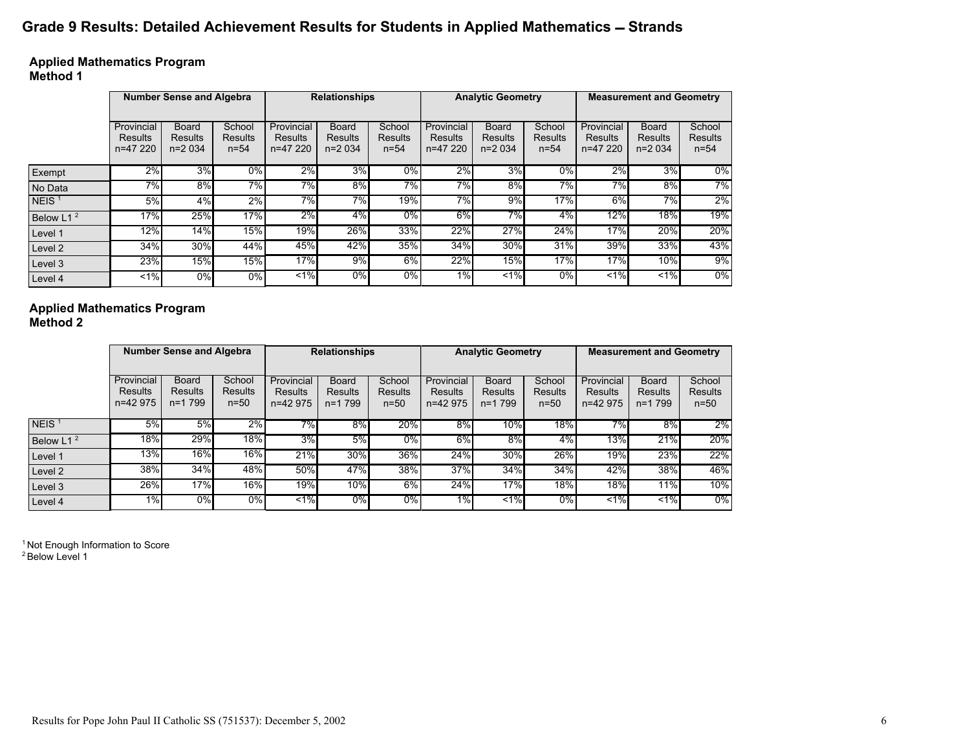# Grade 9 Results: Detailed Achievement Results for Students in Applied Mathematics - Strands

Applied Mathematics Program Method 1

|                       | <b>Number Sense and Algebra</b>   |                                     |                               | <b>Relationships</b>              |                                     |                               | <b>Analytic Geometry</b>          |                                            |                                      | <b>Measurement and Geometry</b>   |                                     |                               |
|-----------------------|-----------------------------------|-------------------------------------|-------------------------------|-----------------------------------|-------------------------------------|-------------------------------|-----------------------------------|--------------------------------------------|--------------------------------------|-----------------------------------|-------------------------------------|-------------------------------|
|                       | Provincial<br>Results<br>n=47 220 | <b>Board</b><br>Results<br>$n=2034$ | School<br>Results<br>$n = 54$ | Provincial<br>Results<br>n=47 220 | <b>Board</b><br>Results<br>$n=2034$ | School<br>Results<br>$n = 54$ | Provincial<br>Results<br>n=47 220 | <b>Board</b><br><b>Results</b><br>$n=2034$ | School<br><b>Results</b><br>$n = 54$ | Provincial<br>Results<br>n=47 220 | <b>Board</b><br>Results<br>$n=2034$ | School<br>Results<br>$n = 54$ |
| Exempt                | 2%                                | 3%                                  | $\overline{0\%}$              | 2%                                | 3%                                  | $0\%$                         | 2%                                | $3\%$                                      | $0\%$                                | 2%                                | 3%                                  | $0\%$                         |
| No Data               | 7%                                | 8%                                  | 7%                            | 7%                                | 8%                                  | 7%                            | 7%                                | 8%                                         | 7%                                   | 7%                                | 8%                                  | 7%                            |
| NEIS <sup>1</sup>     | 5%                                | 4%                                  | 2%                            | $7\%$                             | 7%                                  | 19%                           | $7\%$                             | 9%                                         | 17%                                  | 6%                                | 7%                                  | $2\%$                         |
| Below L1 <sup>2</sup> | 17%                               | 25%                                 | 17%                           | 2%                                | 4%                                  | $0\%$                         | $6\%$                             | 7%                                         | $4\%$                                | 12%                               | 18%                                 | 19%                           |
| Level 1               | 12%                               | 14%                                 | 15%                           | $19\%$                            | 26%                                 | 33%                           | 22%                               | 27%                                        | 24%                                  | 17%                               | 20%                                 | 20%                           |
| Level 2               | 34%                               | 30%                                 | 44%                           | 45%                               | 42%                                 | 35%                           | 34%                               | 30%                                        | 31%                                  | 39%                               | 33%                                 | 43%                           |
| Level 3               | 23%                               | 15%                                 | 15%                           | 17%                               | 9%                                  | $6\%$                         | 22%                               | 15%                                        | 17%                                  | 17%                               | 10%                                 | 9%                            |
| Level 4               | $< 1\%$                           | 0%                                  | $0\%$                         | 1.96                              | $0\%$                               | $0\%$                         | $1\%$                             | 1.96                                       | $0\%$                                | $1\%$                             | $1\%$                               | $0\%$                         |

### Applied Mathematics Program Method 2

|                       | <b>Number Sense and Algebra</b>   |                                     | <b>Relationships</b>               |                                          | <b>Analytic Geometry</b>              |                             |                                          | <b>Measurement and Geometry</b>               |                             |                                   |                                            |                                    |
|-----------------------|-----------------------------------|-------------------------------------|------------------------------------|------------------------------------------|---------------------------------------|-----------------------------|------------------------------------------|-----------------------------------------------|-----------------------------|-----------------------------------|--------------------------------------------|------------------------------------|
|                       | Provincial<br>Results<br>n=42 975 | <b>Board</b><br>Results<br>$n=1799$ | School<br><b>Results</b><br>$n=50$ | Provincial<br><b>Results</b><br>n=42 975 | <b>Board</b><br>Results<br>$n = 1799$ | School<br>Results<br>$n=50$ | Provincial<br><b>Results</b><br>n=42 975 | <b>Board</b><br><b>Results</b><br>$n = 1,799$ | School<br>Results<br>$n=50$ | Provincial<br>Results<br>n=42 975 | <b>Board</b><br><b>Results</b><br>$n=1799$ | School<br><b>Results</b><br>$n=50$ |
| NEIS <sup>1</sup>     | 5%                                | 5%                                  | 2%                                 | $7\%$                                    | $8\%$                                 | 20%                         | $8\%$                                    | $10\%$                                        | 18%                         | 7%                                | $8\%$                                      | 2%                                 |
| Below L1 <sup>2</sup> | 18%                               | 29%                                 | 18%                                | 3%                                       | 5%                                    | $0\%$                       | 6%                                       | $8\%$                                         | $4\%$                       | 13%                               | 21%                                        | 20%                                |
| Level 1               | 13%                               | 16%                                 | 16%                                | 21%                                      | 30%                                   | 36%                         | 24%                                      | $30\%$                                        | 26%                         | 19%                               | 23%                                        | 22%                                |
| Level 2               | 38%                               | 34%                                 | 48%                                | 50%                                      | 47%                                   | 38%                         | 37%                                      | $34\%$                                        | 34%                         | 42%                               | 38%                                        | 46%                                |
| Level 3               | $26\%$                            | 17%                                 | 16%                                | 19%                                      | 10%                                   | 6%                          | 24%                                      | 17%                                           | 18%                         | 18%                               | 11%                                        | 10%                                |
| Level 4               | 1%                                | 0%                                  | $0\%$                              | $1\%$                                    | $0\%$                                 | $0\%$                       | $1\%$                                    | $\leq 1\%$                                    | $0\%$                       | $1\%$                             | $1\%$                                      | $0\%$                              |

<sup>1</sup> Not Enough Information to Score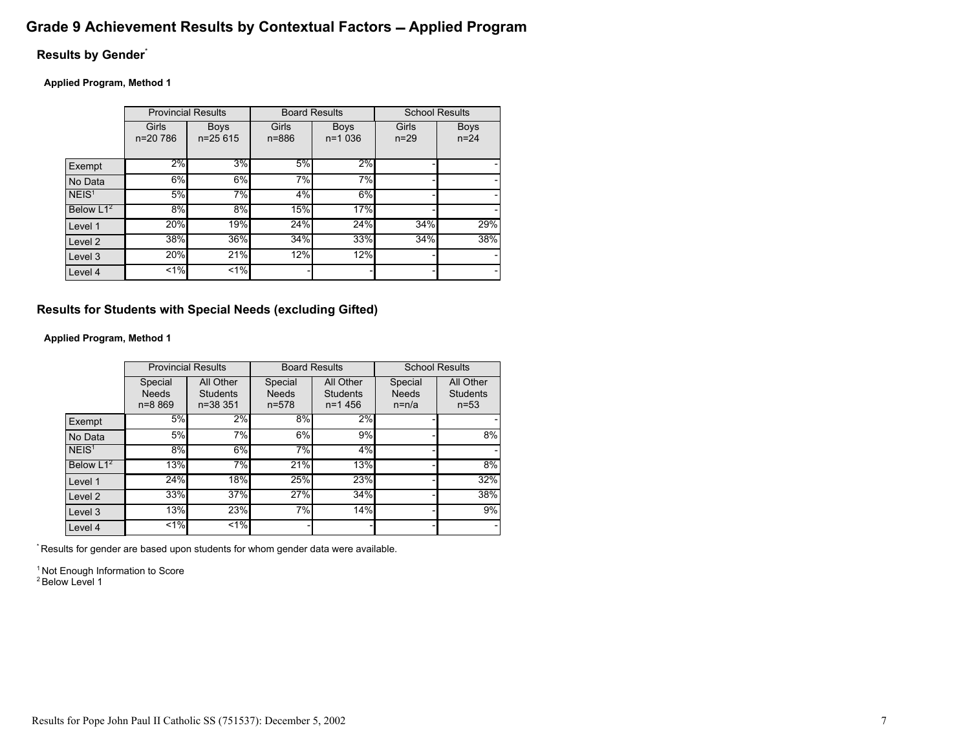# Grade 9 Achievement Results by Contextual Factors - Applied Program

## Results by Gender\*

Applied Program, Method 1

|                    | <b>Provincial Results</b> |                          | <b>Board Results</b> |                           | <b>School Results</b> |                         |
|--------------------|---------------------------|--------------------------|----------------------|---------------------------|-----------------------|-------------------------|
|                    | Girls<br>n=20 786         | <b>Boys</b><br>$n=25615$ | Girls<br>$n = 886$   | <b>Boys</b><br>$n = 1036$ | Girls<br>$n = 29$     | <b>Boys</b><br>$n = 24$ |
| Exempt             | 2%                        | 3%                       | 5%                   | 2%                        |                       |                         |
| No Data            | 6%                        | 6%                       | 7%                   | 7%                        |                       |                         |
| NEIS <sup>1</sup>  | 5%                        | 7%                       | 4%                   | 6%                        |                       |                         |
| Below $L1^2$       | 8%                        | 8%                       | 15%                  | 17%                       |                       |                         |
| Level 1            | 20%                       | 19%                      | 24%                  | 24%                       | 34%                   | 29%                     |
| Level <sub>2</sub> | 38%                       | 36%                      | 34%                  | 33%                       | 34%                   | 38%                     |
| Level 3            | 20%                       | 21%                      | 12%                  | 12%                       |                       |                         |
| Level 4            | $1\%$                     | $1\%$                    |                      |                           |                       |                         |

Results for Students with Special Needs (excluding Gifted)

Applied Program, Method 1

|                    | <b>Provincial Results</b>             |                                   | <b>Board Results</b>                 |                                     | <b>School Results</b>              |                                          |  |
|--------------------|---------------------------------------|-----------------------------------|--------------------------------------|-------------------------------------|------------------------------------|------------------------------------------|--|
|                    | Special<br><b>Needs</b><br>$n = 8869$ | All Other<br>Students<br>n=38 351 | Special<br><b>Needs</b><br>$n = 578$ | All Other<br>Students<br>$n = 1456$ | Special<br><b>Needs</b><br>$n=n/a$ | All Other<br><b>Students</b><br>$n = 53$ |  |
| Exempt             | 5%                                    | $2\%$                             | 8%                                   | 2%                                  |                                    |                                          |  |
| No Data            | 5%                                    | 7%                                | 6%                                   | 9%                                  |                                    | 8%                                       |  |
| NEIS <sup>1</sup>  | 8%                                    | 6%                                | 7%                                   | 4%                                  |                                    |                                          |  |
| Below $L1^2$       | 13%                                   | 7%                                | 21%                                  | 13%                                 |                                    | 8%                                       |  |
| Level 1            | 24%                                   | 18%                               | 25%                                  | 23%                                 |                                    | 32%                                      |  |
| Level <sub>2</sub> | 33%                                   | 37%                               | 27%                                  | 34%                                 |                                    | 38%                                      |  |
| Level 3            | 13%                                   | 23%                               | 7%                                   | 14%                                 |                                    | 9%                                       |  |
| Level 4            | $1\%$                                 | $1\%$                             |                                      |                                     |                                    |                                          |  |

\* Results for gender are based upon students for whom gender data were available.

<sup>1</sup> Not Enough Information to Score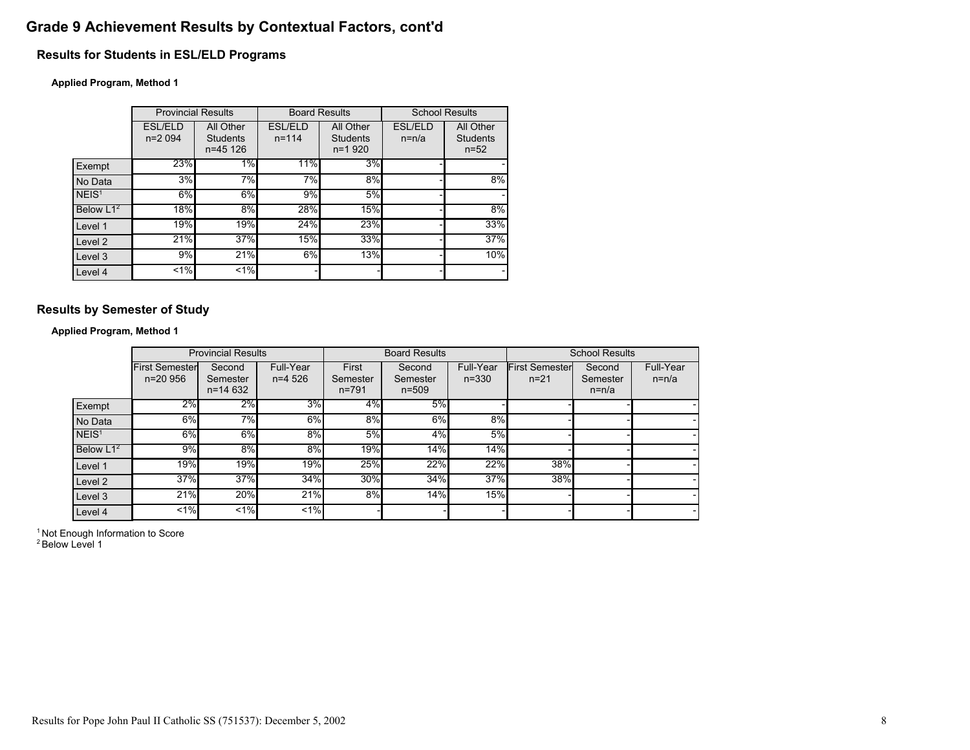# Grade 9 Achievement Results by Contextual Factors, cont'd

## Results for Students in ESL/ELD Programs

### Applied Program, Method 1

|                   | <b>Provincial Results</b> |                                   | <b>Board Results</b>        |                                     | <b>School Results</b>     |                                          |
|-------------------|---------------------------|-----------------------------------|-----------------------------|-------------------------------------|---------------------------|------------------------------------------|
|                   | ESL/ELD<br>$n=2094$       | All Other<br>Students<br>n=45 126 | <b>ESL/ELD</b><br>$n = 114$ | All Other<br>Students<br>$n = 1920$ | <b>ESL/ELD</b><br>$n=n/a$ | All Other<br><b>Students</b><br>$n = 52$ |
| Exempt            | 23%                       | $1\%$                             | 11%                         | 3%                                  |                           |                                          |
| No Data           | 3%                        | 7%                                | 7%                          | 8%                                  |                           | 8%                                       |
| NEIS <sup>1</sup> | 6%                        | 6%                                | 9%                          | 5%                                  |                           |                                          |
| Below $L1^2$      | 18%                       | $8\%$                             | 28%                         | 15%                                 |                           | 8%                                       |
| Level 1           | 19%                       | 19%                               | 24%                         | 23%                                 |                           | 33%                                      |
| Level 2           | 21%                       | 37%                               | 15%                         | 33%                                 |                           | 37%                                      |
| Level 3           | 9%                        | 21%                               | 6%                          | 13%                                 |                           | 10%                                      |
| Level 4           | 1%                        | $1\%$                             |                             |                                     |                           |                                          |

## Results by Semester of Study

Applied Program, Method 1

|                       |                                     | <b>Provincial Results</b>         |                        |                                | <b>Board Results</b>            |                        |                                   | <b>School Results</b>         |                      |
|-----------------------|-------------------------------------|-----------------------------------|------------------------|--------------------------------|---------------------------------|------------------------|-----------------------------------|-------------------------------|----------------------|
|                       | <b>First Semester</b><br>$n=20.956$ | Second<br>Semester<br>$n = 14632$ | Full-Year<br>$n=4.526$ | First<br>Semester<br>$n = 791$ | Second<br>Semester<br>$n = 509$ | Full-Year<br>$n = 330$ | <b>First Semester</b><br>$n = 21$ | Second<br>Semester<br>$n=n/a$ | Full-Year<br>$n=n/a$ |
| Exempt                | 2%                                  | 2%                                | 3%                     | 4%                             | 5%                              |                        |                                   |                               |                      |
| No Data               | 6%                                  | 7%                                | 6%                     | 8%                             | 6%                              | 8%                     |                                   |                               |                      |
| NEIS <sup>1</sup>     | 6%                                  | 6%                                | 8%                     | 5%                             | 4%                              | 5%                     |                                   |                               |                      |
| Below L1 <sup>2</sup> | 9%                                  | 8%                                | 8%                     | 19%                            | 14%                             | 14%                    |                                   |                               |                      |
| Level 1               | 19%                                 | 19%                               | 19%                    | 25%                            | 22%                             | 22%                    | 38%                               |                               |                      |
| Level 2               | 37%                                 | 37%                               | 34%                    | 30%                            | 34%                             | 37%                    | 38%                               |                               |                      |
| Level 3               | 21%                                 | 20%                               | 21%                    | 8%                             | 14%                             | 15%                    |                                   |                               |                      |
| Level 4               | $1\%$                               | $1\%$                             | $1\%$                  |                                |                                 |                        |                                   |                               |                      |

<sup>1</sup> Not Enough Information to Score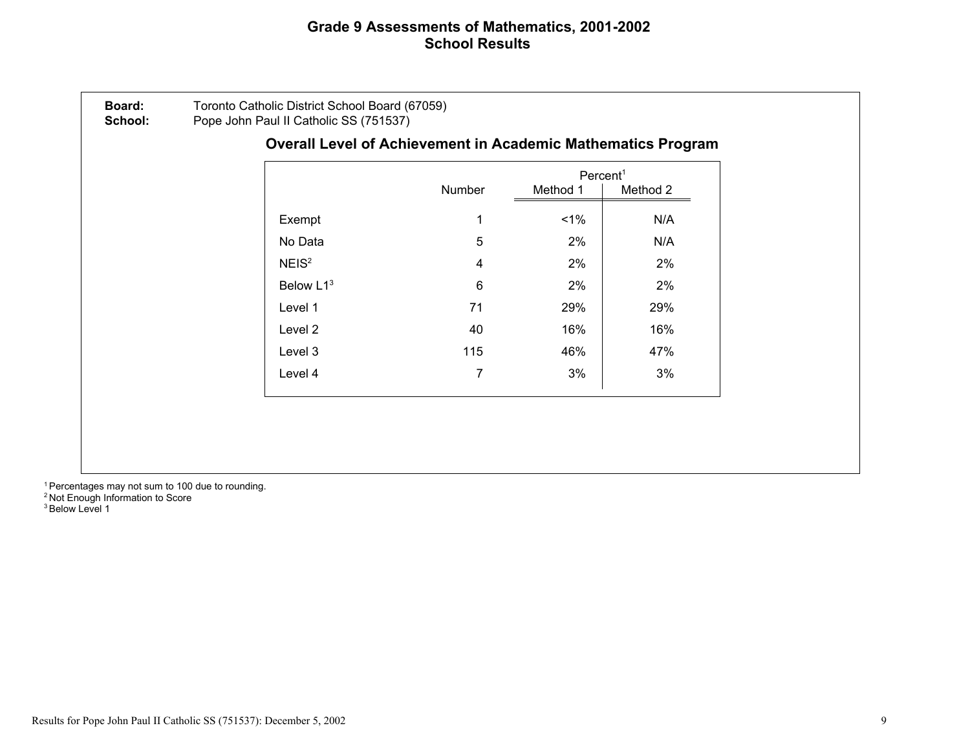## Grade 9 Assessments of Mathematics, 2001-2002 School Results

|                   |        | Percent <sup>1</sup> |          |
|-------------------|--------|----------------------|----------|
|                   | Number | Method 1             | Method 2 |
| Exempt            |        | $1\%$                | N/A      |
| No Data           | 5      | 2%                   | N/A      |
| NEIS <sup>2</sup> | 4      | 2%                   | 2%       |
| Below L13         | 6      | 2%                   | 2%       |
| Level 1           | 71     | 29%                  | 29%      |
| Level 2           | 40     | 16%                  | 16%      |
| Level 3           | 115    | 46%                  | 47%      |
| Level 4           | 7      | 3%                   | 3%       |

<sup>1</sup> Percentages may not sum to 100 due to rounding. <sup>2</sup> Not Enough Information to Score <sup>3</sup> Below Level 1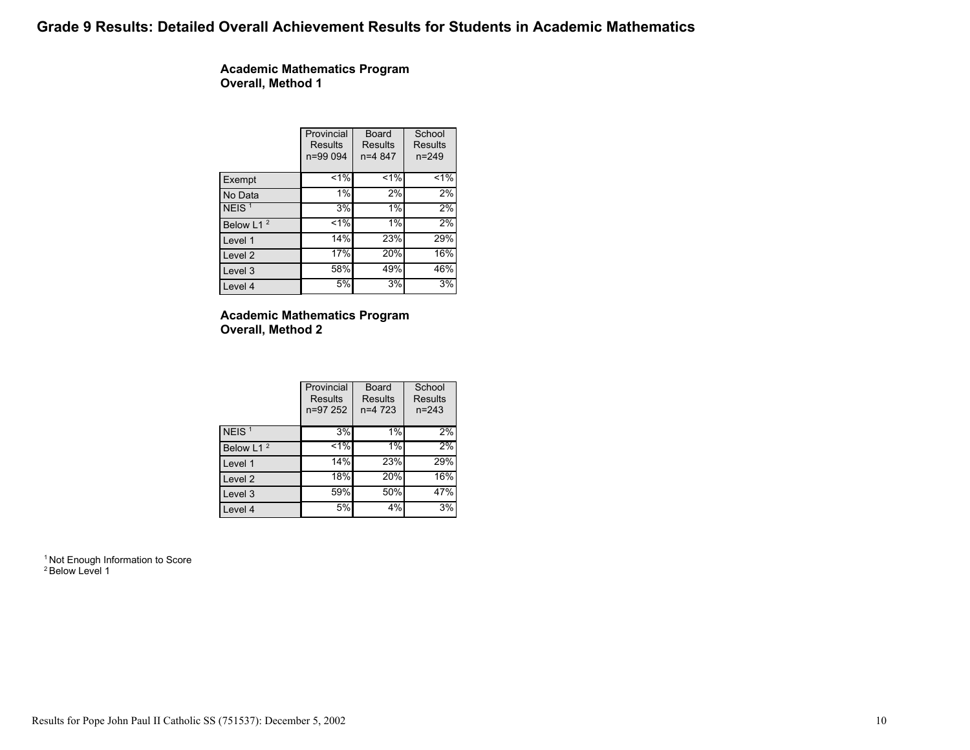# Grade 9 Results: Detailed Overall Achievement Results for Students in Academic Mathematics

Academic Mathematics Program Overall, Method 1

|                       | Provincial<br>Results<br>n=99 094 | Board<br>Results<br>$n=4847$ | School<br>Results<br>$n = 249$ |
|-----------------------|-----------------------------------|------------------------------|--------------------------------|
| Exempt                | $< 1\%$                           | $< 1\%$                      | $1\%$                          |
| No Data               | 1%                                | 2%                           | 2%                             |
| NEIS <sup>1</sup>     | 3%                                | 1%                           | 2%                             |
| Below L1 <sup>2</sup> | $1\%$                             | 1%                           | 2%                             |
| Level 1               | 14%                               | 23%                          | 29%                            |
| Level 2               | 17%                               | 20%                          | 16%                            |
| Level 3               | 58%                               | 49%                          | 46%                            |
| Level 4               | 5%                                | 3%                           | 3%                             |

### Academic Mathematics Program Overall, Method 2

|                       | Provincial<br><b>Results</b><br>n=97 252 | Board<br>Results<br>$n=4$ 723 | School<br>Results<br>$n = 243$ |
|-----------------------|------------------------------------------|-------------------------------|--------------------------------|
| NEIS <sup>1</sup>     | 3%                                       | 1%                            | 2%                             |
| Below L1 <sup>2</sup> | $1\%$                                    | 1%                            | 2%                             |
| Level 1               | 14%                                      | 23%                           | 29%                            |
| Level 2               | 18%                                      | 20%                           | 16%                            |
| Level 3               | 59%                                      | 50%                           | 47%                            |
| Level 4               | 5%                                       | 4%                            | 3%                             |

<sup>1</sup> Not Enough Information to Score <sup>2</sup> Below Level 1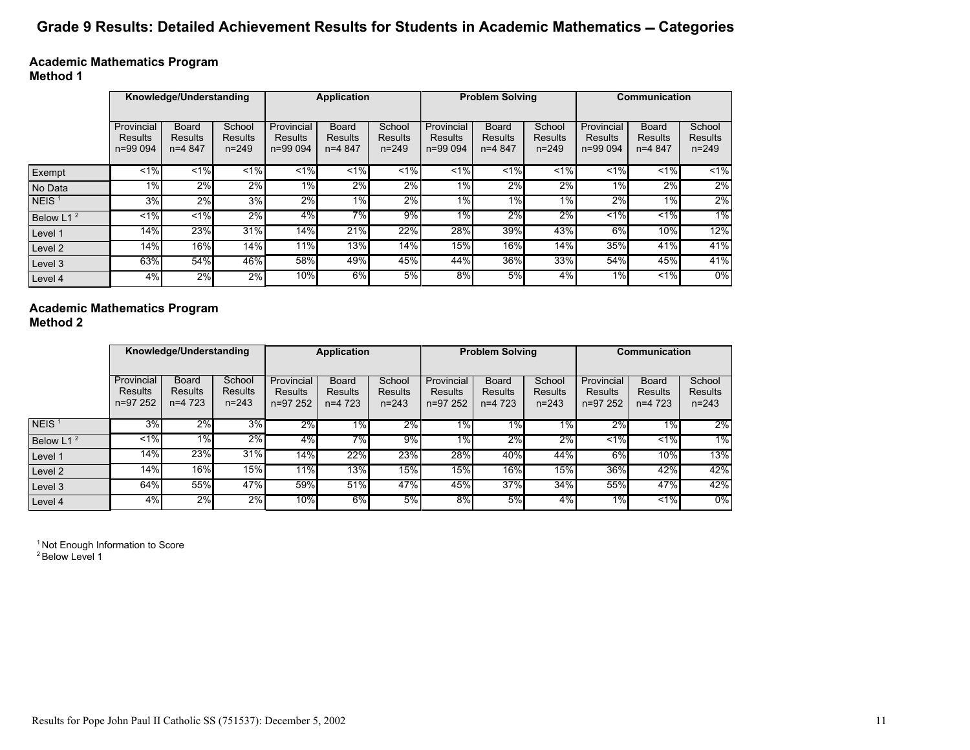# Grade 9 Results: Detailed Achievement Results for Students in Academic Mathematics - Categories

Academic Mathematics Program Method 1

|                       |                                          | Knowledge/Understanding             |                                | <b>Application</b>                       |                                            |                                | <b>Problem Solving</b>            |                                            |                                       | Communication                            |                                     |                                       |
|-----------------------|------------------------------------------|-------------------------------------|--------------------------------|------------------------------------------|--------------------------------------------|--------------------------------|-----------------------------------|--------------------------------------------|---------------------------------------|------------------------------------------|-------------------------------------|---------------------------------------|
|                       | Provincial<br><b>Results</b><br>n=99 094 | <b>Board</b><br>Results<br>$n=4847$ | School<br>Results<br>$n = 249$ | Provincial<br><b>Results</b><br>n=99 094 | <b>Board</b><br><b>Results</b><br>$n=4847$ | School<br>Results<br>$n = 249$ | Provincial<br>Results<br>n=99 094 | <b>Board</b><br><b>Results</b><br>$n=4847$ | School<br><b>Results</b><br>$n = 249$ | Provincial<br><b>Results</b><br>n=99 094 | <b>Board</b><br>Results<br>$n=4847$ | School<br><b>Results</b><br>$n = 249$ |
| Exempt                | $1\%$                                    | $1\%$                               | $\leq$ 1%                      | $1\%$                                    | $\overline{21\%}$                          | $1\%$                          | $\leq$ 1%                         | $\leq$ 1%                                  | $\overline{21\%}$                     | $1\%$                                    | $1\%$                               | $1\%$                                 |
| No Data               | 1%                                       | 2%                                  | 2%                             | 1%                                       | 2%                                         | 2%                             | $\overline{1\%}$                  | 2%                                         | $2\%$                                 | 1%                                       | 2%                                  | $2\%$                                 |
| NEIS <sup>1</sup>     | 3%                                       | 2%                                  | 3%                             | 2%                                       | 1%                                         | 2%                             | $1\%$                             | $1\%$                                      | 1%                                    | 2%                                       | $1\%$                               | $2\%$                                 |
| Below L1 <sup>2</sup> | $1\%$                                    | $1\%$                               | $2\%$                          | $4\%$                                    | 7%                                         | $9\%$                          | $1\%$                             | 2%                                         | $2\%$                                 | $1\%$                                    | $1\%$                               | 1%                                    |
| Level 1               | 14%                                      | 23%                                 | 31%                            | 14%                                      | 21%                                        | 22%                            | 28%                               | 39%                                        | 43%                                   | 6%                                       | $10\%$                              | 12%                                   |
| Level 2               | 14%                                      | 16%                                 | $14\sqrt{0}$                   | 11%                                      | 13%                                        | 14%                            | 15%                               | 16%                                        | 14%                                   | 35%                                      | 41%                                 | 41%                                   |
| Level 3               | 63%                                      | 54%                                 | 46%                            | 58%                                      | 49%                                        | 45%                            | 44%                               | 36%l                                       | 33%                                   | 54%                                      | 45%                                 | 41%                                   |
| Level 4               | 4%                                       | 2%                                  | 2%                             | 10%                                      | 6%                                         | 5%                             | $8\%$                             | 5%                                         | $4\%$                                 | $1\%$                                    | $1\%$                               | $0\%$                                 |

## Academic Mathematics Program

Method 2

|                       |                                   | Knowledge/Understanding                     |                                       | <b>Application</b>                       |                                      | <b>Problem Solving</b>         |                                    |                                             | Communication                  |                                   |                                      |                                       |
|-----------------------|-----------------------------------|---------------------------------------------|---------------------------------------|------------------------------------------|--------------------------------------|--------------------------------|------------------------------------|---------------------------------------------|--------------------------------|-----------------------------------|--------------------------------------|---------------------------------------|
|                       | Provincial<br>Results<br>n=97 252 | <b>Board</b><br><b>Results</b><br>$n=4$ 723 | School<br><b>Results</b><br>$n = 243$ | Provincial<br><b>Results</b><br>n=97 252 | <b>Board</b><br>Results<br>$n=4$ 723 | School<br>Results<br>$n = 243$ | Provincial<br>Results<br>$n=97252$ | <b>Board</b><br><b>Results</b><br>$n=4$ 723 | School<br>Results<br>$n = 243$ | Provincial<br>Results<br>n=97 252 | <b>Board</b><br>Results<br>$n=4$ 723 | School<br><b>Results</b><br>$n = 243$ |
| NEIS $1$              | 3%                                | 2%                                          | $3\%$                                 | $2\%$                                    | 1%                                   | 2%                             | $1\%$                              | $\overline{1\%}$                            | $1\%$                          | 2%                                | $1\%$                                | 2%                                    |
| Below L1 <sup>2</sup> | $1\%$                             | $1\%$                                       | 2%                                    | 4%                                       | 7%                                   | 9%                             | $1\%$                              | 2%                                          | 2%                             | $1\%$                             | $1\%$                                | 1%                                    |
| Level 1               | 14%                               | 23%                                         | 31%                                   | 14%                                      | 22%                                  | 23%                            | 28%                                | 40%                                         | 44%                            | 6%                                | 10%                                  | 13%                                   |
| Level 2               | 14%                               | 16%                                         | 15%                                   | 11%                                      | 13%                                  | 15%                            | 15%                                | 16%                                         | 15%                            | 36%                               | 42%                                  | 42%                                   |
| Level 3               | 64%                               | 55%                                         | 47%                                   | 59%                                      | 51%                                  | 47%                            | 45%                                | 37%                                         | 34%                            | 55%                               | 47%                                  | 42%                                   |
| Level 4               | 4%                                | 2%                                          | 2%                                    | 10%                                      | 6%                                   | 5%                             | 8%                                 | 5%                                          | 4%                             | $1\%$                             | $1\%$                                | $0\%$                                 |

<sup>1</sup> Not Enough Information to Score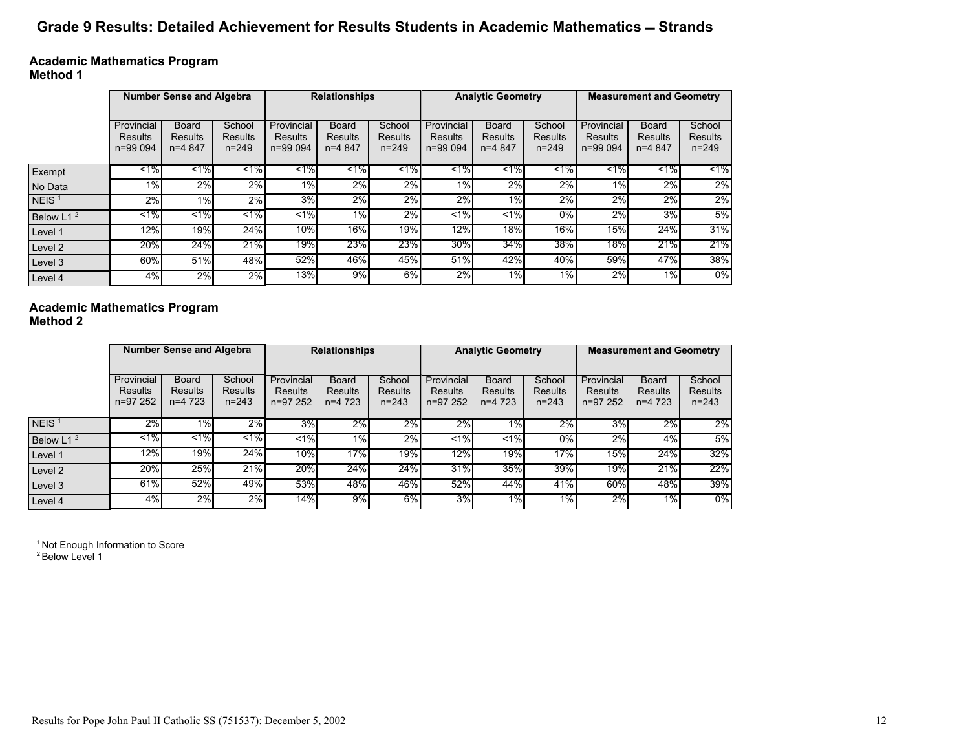# Grade 9 Results: Detailed Achievement for Results Students in Academic Mathematics - Strands

Academic Mathematics Program Method 1

|                       |                                   | <b>Number Sense and Algebra</b>     |                                | <b>Relationships</b>              |                                     |                                | <b>Analytic Geometry</b>          |                                            |                                       | <b>Measurement and Geometry</b>   |                                     |                                       |
|-----------------------|-----------------------------------|-------------------------------------|--------------------------------|-----------------------------------|-------------------------------------|--------------------------------|-----------------------------------|--------------------------------------------|---------------------------------------|-----------------------------------|-------------------------------------|---------------------------------------|
|                       | Provincial<br>Results<br>n=99 094 | <b>Board</b><br>Results<br>$n=4847$ | School<br>Results<br>$n = 249$ | Provincial<br>Results<br>n=99 094 | Board<br><b>Results</b><br>$n=4847$ | School<br>Results<br>$n = 249$ | Provincial<br>Results<br>n=99 094 | <b>Board</b><br><b>Results</b><br>$n=4847$ | School<br><b>Results</b><br>$n = 249$ | Provincial<br>Results<br>n=99 094 | <b>Board</b><br>Results<br>$n=4847$ | School<br><b>Results</b><br>$n = 249$ |
| Exempt                | $1\%$                             | $1\%$                               | $\overline{.1\%}$              | $\leq$ 1%                         | $1\%$                               | $\overline{21\%}$              | $1\%$                             | $\leq$ 1%                                  | $\leq$ 1%                             | $1\%$                             | $1\%$                               | $1\%$                                 |
| No Data               | 1%                                | 2%                                  | 2%                             | $1\%$                             | 2%                                  | 2%                             | $1\%$                             | 2%                                         | 2%                                    | $1\%$                             | $2\%$                               | 2%                                    |
| NEIS <sup>1</sup>     | 2%                                | $1\%$                               | 2%                             | 3%                                | 2%                                  | 2%                             | 2%                                | $1\%$                                      | $2\%$                                 | 2%                                | 2%                                  | $2\%$                                 |
| Below L1 <sup>2</sup> | $< 1\%$                           | $1\%$                               | $1\%$                          | $1\%$                             | 1%                                  | 2%                             | $1\%$                             | 1%                                         | $0\%$                                 | 2%                                | 3%                                  | 5%                                    |
| Level 1               | 12%                               | 19%                                 | 24%                            | 10%                               | 16%                                 | 19%                            | 12%                               | <b>18%</b>                                 | 16%                                   | 15%                               | 24%                                 | 31%                                   |
| Level 2               | 20%                               | 24%                                 | 21%                            | 19%                               | 23%                                 | 23%                            | 30%                               | 34%                                        | 38%                                   | 18%                               | 21%                                 | 21%                                   |
| Level 3               | 60%                               | 51%                                 | 48%                            | 52%                               | 46%                                 | 45%                            | 51%                               | 42%                                        | 40%                                   | 59%                               | 47%                                 | 38%                                   |
| Level 4               | 4%                                | 2%                                  | 2%                             | 13%                               | 9%                                  | $6\%$                          | 2%                                | 1%                                         | 1%                                    | 2%                                | 1%                                  | $0\%$                                 |

Academic Mathematics Program

Method 2

|                       |            | <b>Number Sense and Algebra</b> |                |                | <b>Relationships</b> |                |                   | <b>Analytic Geometry</b> |                |                | <b>Measurement and Geometry</b> |                |  |
|-----------------------|------------|---------------------------------|----------------|----------------|----------------------|----------------|-------------------|--------------------------|----------------|----------------|---------------------------------|----------------|--|
|                       |            |                                 |                |                |                      |                |                   |                          |                |                |                                 |                |  |
|                       | Provincial | <b>Board</b>                    | School         | Provincial     | <b>Board</b>         | School         | Provincial        | <b>Board</b>             | School         | Provincial     | <b>Board</b>                    | School         |  |
|                       | Results    | Results                         | <b>Results</b> | <b>Results</b> | <b>Results</b>       | <b>Results</b> | <b>Results</b>    | <b>Results</b>           | <b>Results</b> | <b>Results</b> | <b>Results</b>                  | <b>Results</b> |  |
|                       | n=97 252   | $n=4$ 723                       | $n = 243$      | n=97 252       | $n=4$ 723            | $n = 243$      | $n=97252$         | $n=4$ 723                | $n = 243$      | n=97 252       | $n=4$ 723                       | $n = 243$      |  |
|                       |            |                                 |                |                |                      |                |                   |                          |                |                |                                 |                |  |
| NEIS $1$              | 2%         | $1\%$                           | 2%             | 3%             | $2\%$                | 2%             | 2%                | $1\%$                    | 2%             | 3%             | 2%                              | 2%             |  |
| Below L1 <sup>2</sup> | $1\%$      | $1\%$                           | $1\%$          | $1\%$          | 1%                   | 2%             | $\overline{21\%}$ | $\leq$ 1%                | $0\%$          | 2%             | 4%                              | 5%             |  |
| Level 1               | 12%        | 19%                             | 24%            | 10%            | 17%                  | 19%            | $12\%$            | 19%                      | 17%            | 15%            | 24%                             | 32%            |  |
| Level 2               | 20%        | 25%                             | 21%            | 20%            | 24%                  | 24%            | 31%               | 35%                      | 39%            | 19%            | 21%                             | 22%            |  |
| Level 3               | 61%        | 52%                             | 49%            | 53%            | 48%                  | 46%            | 52%               | 44%                      | 41%            | 60%            | 48%                             | 39%            |  |
| Level 4               | 4%         | 2%                              | 2%             | 14%            | 9%                   | 6%             | 3%                | $1\%$                    | $1\%$          | 2%             | 1%                              | $0\%$          |  |

<sup>1</sup> Not Enough Information to Score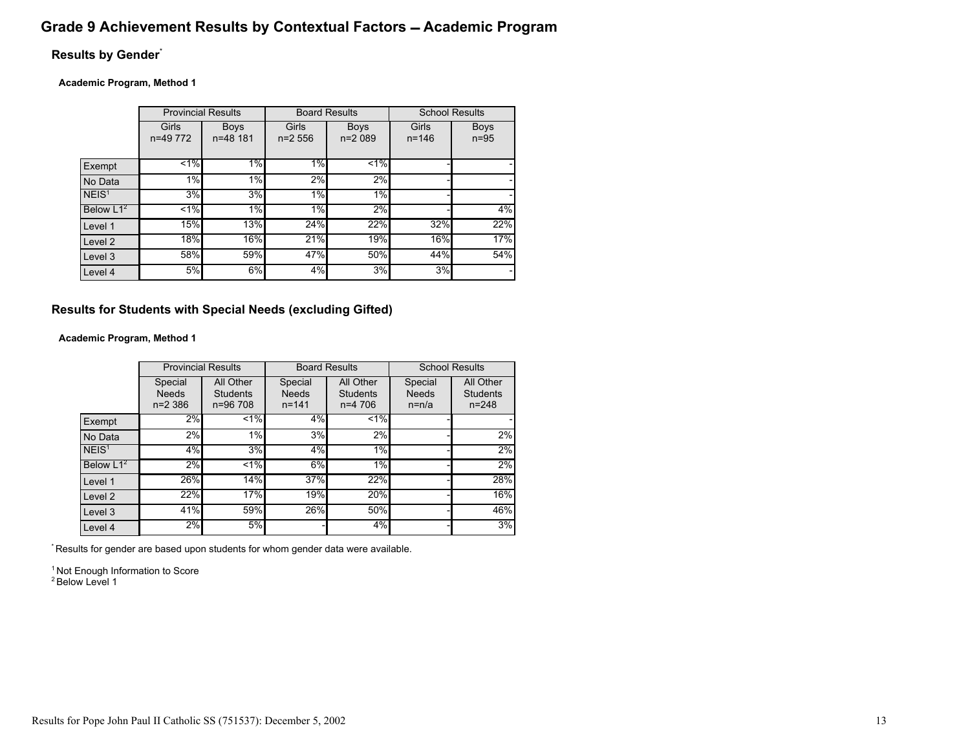## Grade 9 Achievement Results by Contextual Factors - Academic Program

## Results by Gender\*

#### Academic Program, Method 1

|                   |                   | <b>Provincial Results</b> | <b>Board Results</b> |                         | <b>School Results</b> |                       |
|-------------------|-------------------|---------------------------|----------------------|-------------------------|-----------------------|-----------------------|
|                   | Girls<br>n=49 772 | <b>Boys</b><br>n=48 181   | Girls<br>$n=2556$    | <b>Boys</b><br>$n=2089$ | Girls<br>$n = 146$    | <b>Boys</b><br>$n=95$ |
| Exempt            | $1\%$             | 1%                        | 1%                   | $1\frac{4}{9}$          |                       |                       |
| No Data           | 1%                | 1%                        | 2%                   | 2%                      |                       |                       |
| NEIS <sup>1</sup> | 3%                | 3%                        | 1%                   | 1%                      |                       |                       |
| Below $L1^2$      | $1\%$             | 1%                        | $1\%$                | $2\%$                   |                       | 4%                    |
| Level 1           | 15%               | 13%                       | 24%                  | 22%                     | 32%                   | 22%                   |
| Level 2           | 18%               | 16%                       | 21%                  | 19%                     | 16%                   | 17%                   |
| Level 3           | 58%               | 59%                       | 47%                  | 50%                     | 44%                   | 54%                   |
| Level 4           | 5%                | 6%                        | 4%                   | 3%                      | 3%                    |                       |

## Results for Students with Special Needs (excluding Gifted)

### Academic Program, Method 1

|                    | <b>Provincial Results</b>              |                                          | <b>Board Results</b>                 |                                           | <b>School Results</b>              |                                           |
|--------------------|----------------------------------------|------------------------------------------|--------------------------------------|-------------------------------------------|------------------------------------|-------------------------------------------|
|                    | Special<br><b>Needs</b><br>$n = 2,386$ | All Other<br><b>Students</b><br>n=96 708 | Special<br><b>Needs</b><br>$n = 141$ | All Other<br><b>Students</b><br>$n=4$ 706 | Special<br><b>Needs</b><br>$n=n/a$ | All Other<br><b>Students</b><br>$n = 248$ |
| Exempt             | $2\%$                                  | $1\%$                                    | $4\%$                                | $1\%$                                     |                                    |                                           |
| No Data            | 2%                                     | 1%                                       | 3%                                   | 2%                                        |                                    | 2%                                        |
| NEIS <sup>1</sup>  | 4%                                     | 3%                                       | 4%                                   | 1%                                        |                                    | 2%                                        |
| Below $L1^2$       | 2%                                     | $1\%$                                    | 6%                                   | 1%                                        |                                    | 2%                                        |
| Level 1            | 26%                                    | 14%                                      | 37%                                  | 22%                                       |                                    | 28%                                       |
| Level <sub>2</sub> | 22%                                    | 17%                                      | 19%                                  | 20%                                       |                                    | 16%                                       |
| Level 3            | 41%                                    | 59%                                      | 26%                                  | 50%                                       |                                    | 46%                                       |
| Level 4            | 2%                                     | 5%                                       |                                      | 4%                                        |                                    | 3%                                        |

\* Results for gender are based upon students for whom gender data were available.

<sup>1</sup> Not Enough Information to Score